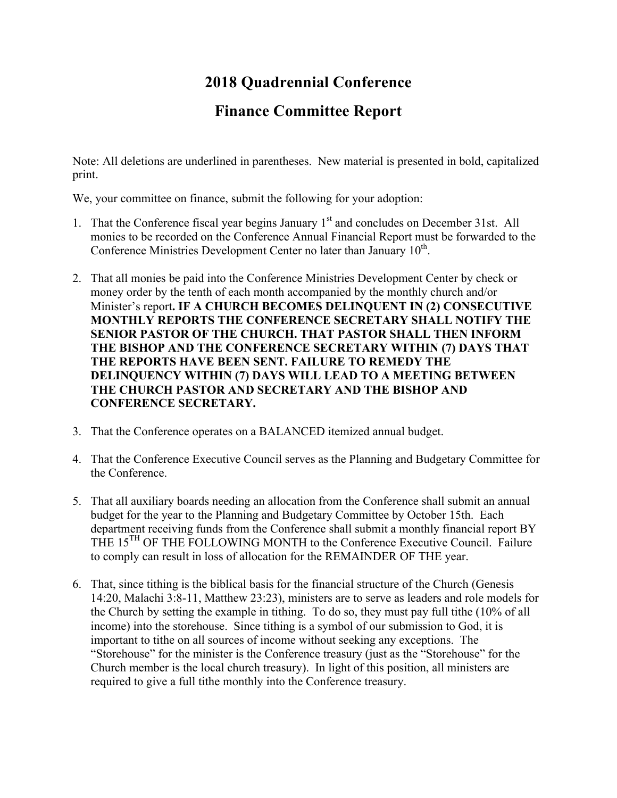# **2018 Quadrennial Conference**

# **Finance Committee Report**

Note: All deletions are underlined in parentheses. New material is presented in bold, capitalized print.

We, your committee on finance, submit the following for your adoption:

- 1. That the Conference fiscal year begins January  $1<sup>st</sup>$  and concludes on December 31st. All monies to be recorded on the Conference Annual Financial Report must be forwarded to the Conference Ministries Development Center no later than January 10<sup>th</sup>.
- 2. That all monies be paid into the Conference Ministries Development Center by check or money order by the tenth of each month accompanied by the monthly church and/or Minister's report**. IF A CHURCH BECOMES DELINQUENT IN (2) CONSECUTIVE MONTHLY REPORTS THE CONFERENCE SECRETARY SHALL NOTIFY THE SENIOR PASTOR OF THE CHURCH. THAT PASTOR SHALL THEN INFORM THE BISHOP AND THE CONFERENCE SECRETARY WITHIN (7) DAYS THAT THE REPORTS HAVE BEEN SENT. FAILURE TO REMEDY THE DELINQUENCY WITHIN (7) DAYS WILL LEAD TO A MEETING BETWEEN THE CHURCH PASTOR AND SECRETARY AND THE BISHOP AND CONFERENCE SECRETARY.**
- 3. That the Conference operates on a BALANCED itemized annual budget.
- 4. That the Conference Executive Council serves as the Planning and Budgetary Committee for the Conference.
- 5. That all auxiliary boards needing an allocation from the Conference shall submit an annual budget for the year to the Planning and Budgetary Committee by October 15th. Each department receiving funds from the Conference shall submit a monthly financial report BY THE 15<sup>TH</sup> OF THE FOLLOWING MONTH to the Conference Executive Council. Failure to comply can result in loss of allocation for the REMAINDER OF THE year.
- 6. That, since tithing is the biblical basis for the financial structure of the Church (Genesis 14:20, Malachi 3:8-11, Matthew 23:23), ministers are to serve as leaders and role models for the Church by setting the example in tithing. To do so, they must pay full tithe (10% of all income) into the storehouse. Since tithing is a symbol of our submission to God, it is important to tithe on all sources of income without seeking any exceptions. The "Storehouse" for the minister is the Conference treasury (just as the "Storehouse" for the Church member is the local church treasury). In light of this position, all ministers are required to give a full tithe monthly into the Conference treasury.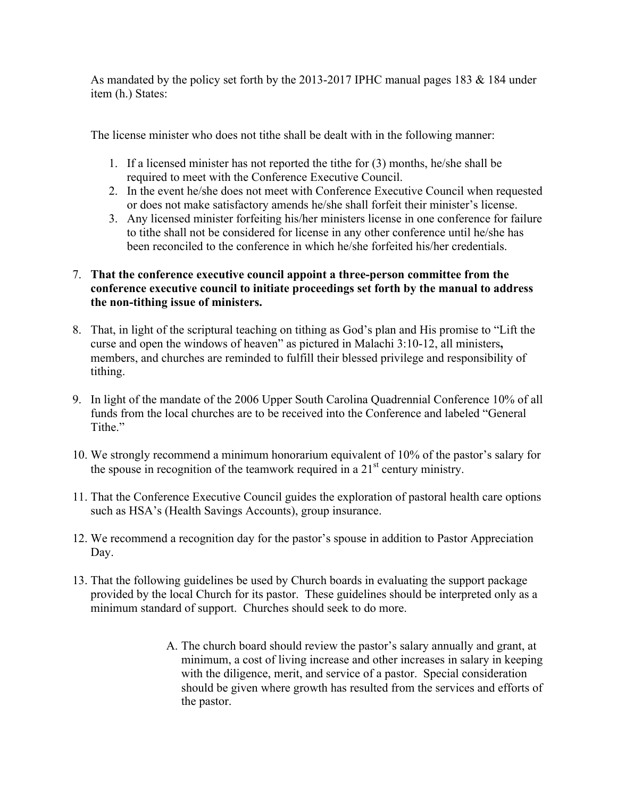As mandated by the policy set forth by the 2013-2017 IPHC manual pages 183 & 184 under item (h.) States:

The license minister who does not tithe shall be dealt with in the following manner:

- 1. If a licensed minister has not reported the tithe for (3) months, he/she shall be required to meet with the Conference Executive Council.
- 2. In the event he/she does not meet with Conference Executive Council when requested or does not make satisfactory amends he/she shall forfeit their minister's license.
- 3. Any licensed minister forfeiting his/her ministers license in one conference for failure to tithe shall not be considered for license in any other conference until he/she has been reconciled to the conference in which he/she forfeited his/her credentials.

## 7. **That the conference executive council appoint a three-person committee from the conference executive council to initiate proceedings set forth by the manual to address the non-tithing issue of ministers.**

- 8. That, in light of the scriptural teaching on tithing as God's plan and His promise to "Lift the curse and open the windows of heaven" as pictured in Malachi 3:10-12, all ministers**,**  members, and churches are reminded to fulfill their blessed privilege and responsibility of tithing.
- 9. In light of the mandate of the 2006 Upper South Carolina Quadrennial Conference 10% of all funds from the local churches are to be received into the Conference and labeled "General Tithe."
- 10. We strongly recommend a minimum honorarium equivalent of 10% of the pastor's salary for the spouse in recognition of the teamwork required in a  $21<sup>st</sup>$  century ministry.
- 11. That the Conference Executive Council guides the exploration of pastoral health care options such as HSA's (Health Savings Accounts), group insurance.
- 12. We recommend a recognition day for the pastor's spouse in addition to Pastor Appreciation Day.
- 13. That the following guidelines be used by Church boards in evaluating the support package provided by the local Church for its pastor. These guidelines should be interpreted only as a minimum standard of support. Churches should seek to do more.
	- A. The church board should review the pastor's salary annually and grant, at minimum, a cost of living increase and other increases in salary in keeping with the diligence, merit, and service of a pastor. Special consideration should be given where growth has resulted from the services and efforts of the pastor.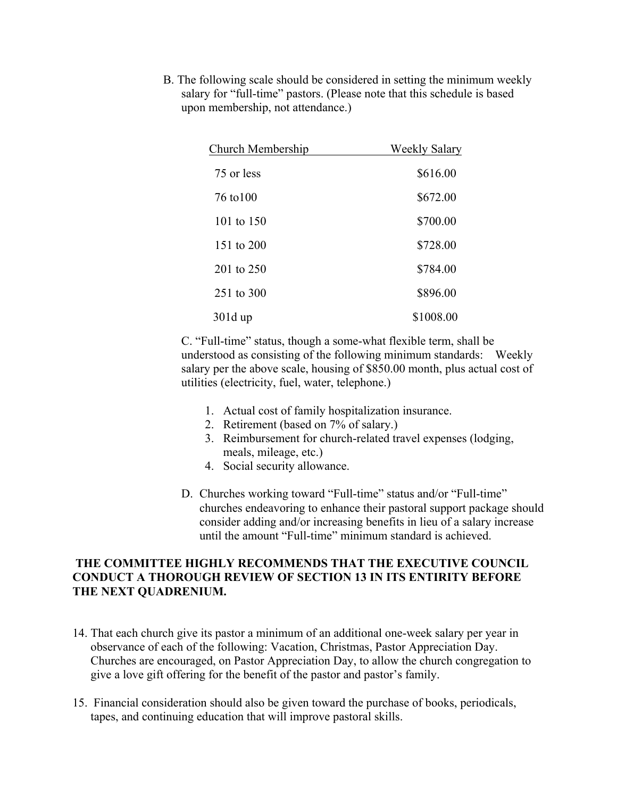B. The following scale should be considered in setting the minimum weekly salary for "full-time" pastors. (Please note that this schedule is based upon membership, not attendance.)

| Church Membership | Weekly Salary |
|-------------------|---------------|
| 75 or less        | \$616.00      |
| 76 to 100         | \$672.00      |
| 101 to 150        | \$700.00      |
| 151 to 200        | \$728.00      |
| 201 to $250$      | \$784.00      |
| 251 to 300        | \$896.00      |
| 301d up           | \$1008.00     |

C. "Full-time" status, though a some-what flexible term, shall be understood as consisting of the following minimum standards: Weekly salary per the above scale, housing of \$850.00 month, plus actual cost of utilities (electricity, fuel, water, telephone.)

- 1. Actual cost of family hospitalization insurance.
- 2. Retirement (based on 7% of salary.)
- 3. Reimbursement for church-related travel expenses (lodging, meals, mileage, etc.)
- 4. Social security allowance.
- D. Churches working toward "Full-time" status and/or "Full-time" churches endeavoring to enhance their pastoral support package should consider adding and/or increasing benefits in lieu of a salary increase until the amount "Full-time" minimum standard is achieved.

#### **THE COMMITTEE HIGHLY RECOMMENDS THAT THE EXECUTIVE COUNCIL CONDUCT A THOROUGH REVIEW OF SECTION 13 IN ITS ENTIRITY BEFORE THE NEXT QUADRENIUM.**

- 14. That each church give its pastor a minimum of an additional one-week salary per year in observance of each of the following: Vacation, Christmas, Pastor Appreciation Day. Churches are encouraged, on Pastor Appreciation Day, to allow the church congregation to give a love gift offering for the benefit of the pastor and pastor's family.
- 15. Financial consideration should also be given toward the purchase of books, periodicals, tapes, and continuing education that will improve pastoral skills.